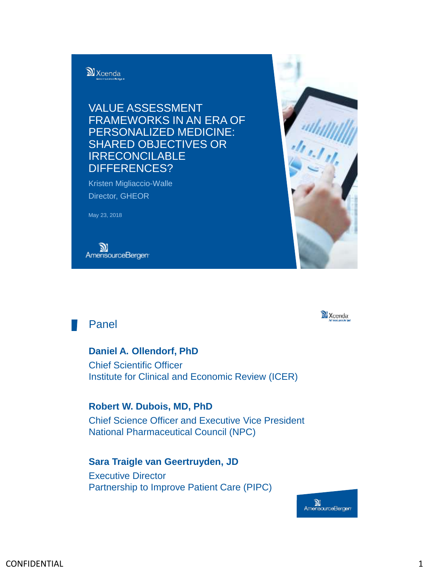

VALUE ASSESSMENT FRAMEWORKS IN AN ERA OF PERSONALIZED MEDICINE: SHARED OBJECTIVES OR IRRECONCILABLE DIFFERENCES?

Kristen Migliaccio-Walle Director, GHEOR

May 23, 2018

**N**<br>AmerisourceBergen<sup>.</sup>





## Panel

**Daniel A. Ollendorf, PhD** Chief Scientific Officer Institute for Clinical and Economic Review (ICER)

**Robert W. Dubois, MD, PhD** Chief Science Officer and Executive Vice President National Pharmaceutical Council (NPC)

## **Sara Traigle van Geertruyden, JD** Executive Director Partnership to Improve Patient Care (PIPC)

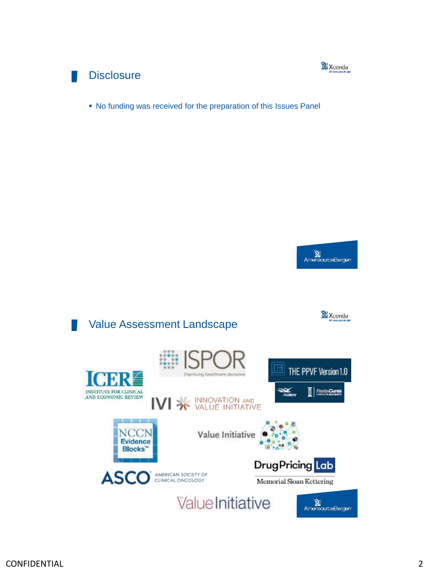

## **Disclosure**

No funding was received for the preparation of this Issues Panel



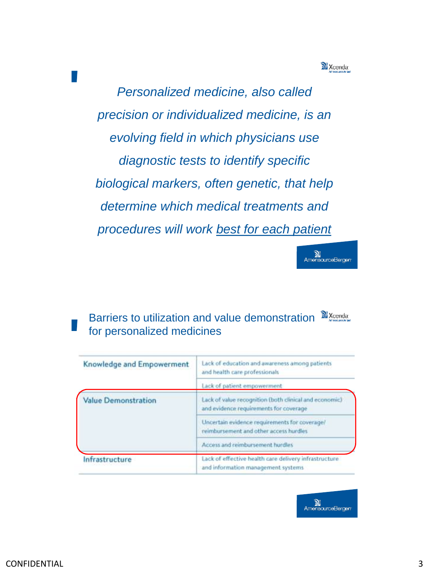

*Personalized medicine, also called precision or individualized medicine, is an evolving field in which physicians use diagnostic tests to identify specific biological markers, often genetic, that help determine which medical treatments and procedures will work best for each patient* 



Barriers to utilization and value demonstration  $\mathbb{N}_{\text{Xendat}}$ for personalized medicines

| Knowledge and Empowerment  | Lack of education and awareness among patients<br>and health care professionals                  |
|----------------------------|--------------------------------------------------------------------------------------------------|
|                            | Lack of patient empowerment                                                                      |
| <b>Value Demonstration</b> | Lack of value recognition (both clinical and economic)<br>and evidence requirements for coverage |
|                            | Uncertain evidence requirements for coverage/<br>reimbursement and other access hurdles          |
|                            | Access and reimbursement hurdles                                                                 |
| Infrastructure             | Lack of effective health care delivery infrastructure<br>and information management systems      |

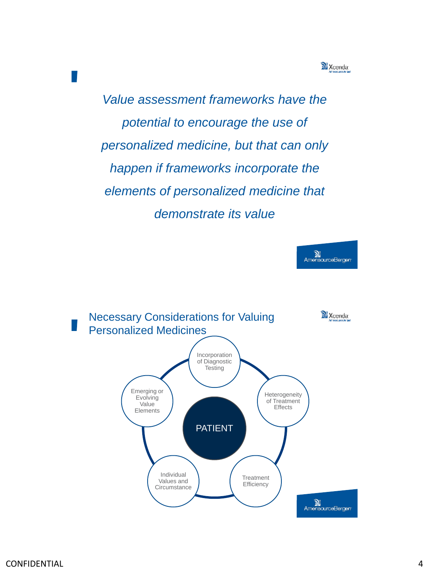Xcenda<sup>-</sup>

*Value assessment frameworks have the potential to encourage the use of personalized medicine, but that can only happen if frameworks incorporate the elements of personalized medicine that demonstrate its value*



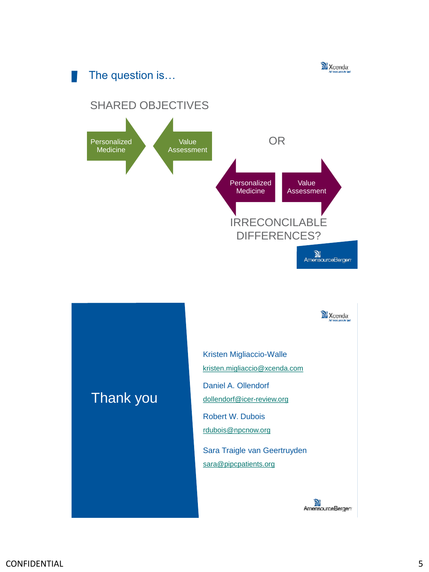



Kristen Migliaccio-Walle [kristen.migliaccio@xcenda.com](mailto:Kristen.Migliaccio@Xcenda.com) Daniel A. Ollendorf [dollendorf@icer-review.org](mailto:dollendorf@icer-review.org)

Robert W. Dubois [rdubois@npcnow.org](mailto:rdubois@npcnow.org)

Sara Traigle van Geertruyden [sara@pipcpatients.org](mailto:sara@pipcpatients.org)



## Thank you